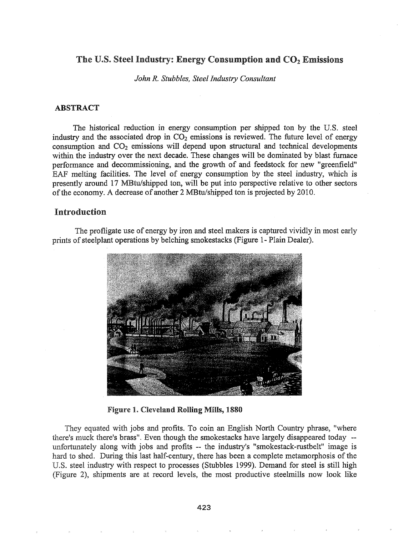## The U.S. Steel Industry: Energy Consumption and  $CO<sub>2</sub>$  Emissions

*John* Re *Stubbles, Steel Industry Consultant*

### ABSTRACT

The historical reduction in energy consumption per shipped ton by the U.S. steel industry and the associated drop in  $CO<sub>2</sub>$  emissions is reviewed. The future level of energy consumption and  $CO<sub>2</sub>$  emissions will depend upon structural and technical developments within the industry over the next decade. These changes will be dominated by blast furnace performance and decommissioning, and the growth of and feedstock for new "greenfield" EAF melting facilities. The level of energy consumption by the steel industry, which is presently around 17 MBtu/shipped ton, will be put into perspective relative to other sectors of the economy. A decrease of another 2 MBtu/shipped ton is projected by 2010.

# Introduction

The profligate use of energy by iron and steel makers is captured vividly in most early prints of steelplant operations by belching smokestacks (Figure 1- Plain Dealer).



Figure 1. Cleveland Rolling Mills, 1880

They equated with jobs and profits. To coin an English North Country phrase, "where there's muck there's brass". Even though the smokestacks have largely disappeared today -unfortunately along with jobs and profits -- the industry's "smokestack-rustbelt" image is hard to shed. During this last half-century, there has been a complete metamorphosis of the U.S. steel industry with respect to processes (Stubbles 1999). Demand for steel is still high (Figure 2), shipments are at record levels, the most productive steelmills now look like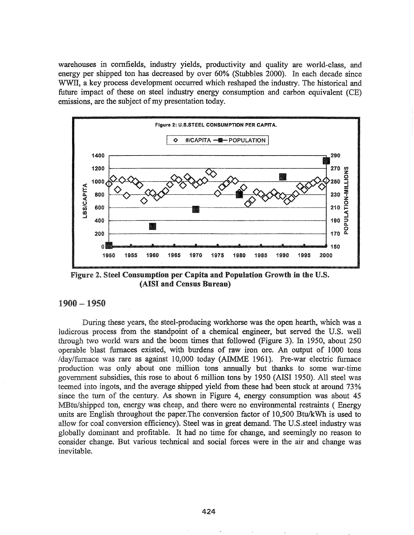warehouses in cornfields, industry yields, productivity and quality are world-class, and energy per shipped ton has decreased by over 60% (Stubbles 2000). In each decade since WWII, a key process development occurred which reshaped the industry. The historical and future impact of these on steel industry energy consumption and carbon equivalent (CE) emissions, are the subject of my presentation today.



Figure 2. Steel Consumption per Capita and Population Growth in the U.S. (AISI and Census Bureau)

### $1900 - 1950$

During these years, the steel-producing workhorse was the open hearth, which was a ludicrous process from the standpoint of a chemical engineer, but served the U.S. well through two world wars and the boom times that followed (Figure 3). In 1950, about 250 operable blast furnaces existed, with burdens of raw iron ore. An output of 1000 tons /day/furnace was rare as against 10,000 today (AIMME 1961). Pre-war electric furnace production was only about one million tons annually but thanks to some war-time government subsidies, this rose to about 6 million tons by 1950 (AISI 1950). All steel was teemed into ingots, and the average shipped yield from these had been stuck at around 73% since the turn of the century. As shown in Figure 4, energy consumption was about 45 MBtu/shipped ton, energy was cheap, and there were no environmental restraints (Energy units are English throughout the paper. The conversion factor of 10,500 Btu/kWh is used to allow for coal conversion efficiency). Steel was in great demand. The U.S. steel industry was globally dominant and profitable. It had no time for change, and seemingly no reason to consider change. But various technical and social forces were in the air and change was inevitable.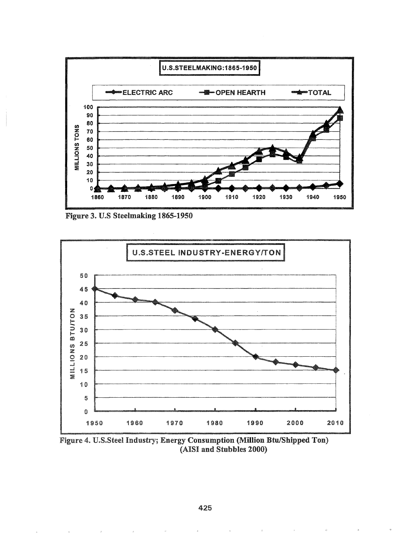

Figure 3. U.S Steelmaking 1865-1950



Figure 4. U.S.Steel Industry; Energy Consumption (Million Btu/Shipped Ton) (AISI and Stubbles 2000)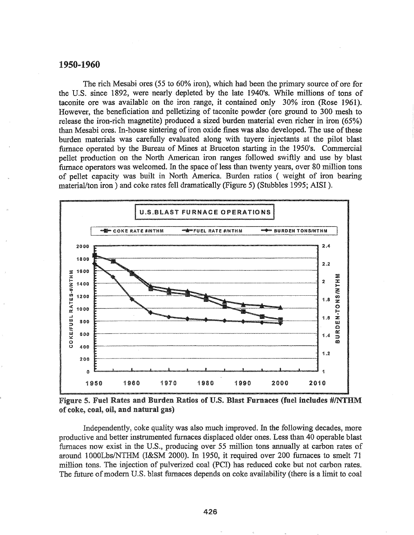#### 1950-1960

The rich Mesabi ores (55 to 60% iron), which had been the primary source of ore for the U.S. since 1892, were nearly depleted by the late 1940's. While millions of tons of taconite ore was available on the iron range, it contained only 30% iron (Rose 1961). However, the beneficiation and pelletizing of taconite powder (ore ground to 300 mesh to release the iron-rich magnetite) produced a sized burden material even richer in iron (65%) than Mesabi ores. In-house sintering of iron oxide fines was also developed. The use of these burden materials was carefully evaluated along with tuyere injectants at the pilot blast furnace operated by the Bureau of Mines at Bruceton starting in the 1950's. Commercial pellet production on the North American iron ranges followed swiftly and use by blast furnace operators was welcomed. In the space of less than twenty years, over 80 million tons of pellet capacity was built in North America. Burden ratios (weight of iron bearing material/ton iron) and coke rates fell dramatically (Figure 5) (Stubbles 1995; AISI).



Figure 5. Fuel Rates and Burden Ratios of U.S. Blast Furnaces (fuel includes #/NTHM of coke, coal, oil, and natural gas)

Independently, coke quality was also much improved. In the following decades, more productive and better instrumented furnaces displaced older ones. Less than 40 operable blast furnaces now exist in the U.S., producing over 55 million tons annually at carbon rates of around 1000Lbs/NTHM (I&SM 2000). In 1950, it required over 200 furnaces to smelt 71 million tons. The injection of pulverized coal (PCI) has reduced coke but not carbon rates. The future of modern U.S. blast furnaces depends on coke availability (there is a limit to coal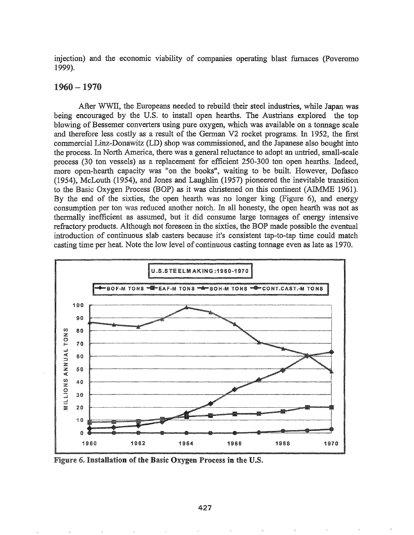injection) and the economic viability of companies operating blast furnaces (Poveromo 1999).

### 1960 -1970

After WWII, the Europeans needed to rebuild their steel industries, while Japan was being encouraged by the U.S. to install open hearths. The Austrians explored the top blowing of Bessemer converters using pure oxygen, which was available on a tonnage scale and therefore less costly as a result of the German V2 rocket programs. In 1952, the first commercial Linz-Donawitz (LD) shop was commissioned, and the Japanese also bought into the process. In North America, there was a general reluctance to adopt an untried, small-scale process (30 ton vessels) as a replacement for efficient 250-300 ton open hearths. Indeed, more open-hearth capacity was "on the books", waiting to be built. However, Dofasco (1954), McLouth (1954), and Jones and Laughlin (1957) pioneered the inevitable transition to the Basic Oxygen Process (BOP) as it was christened on this continent (AIMME 1961). By the end of the sixties, the open hearth was no longer king (Figure 6), and energy consumption per ton was reduced another notch. In all honesty, the open hearth was not as thennally inefficient as assumed, but it did consume large tonnages of energy intensive refractory products. Although not foreseen in the sixties, the BOP made possible the eventual introduction of continuous slab casters because it's consistent tap-to-tap time could match casting time per heat. Note the low level of continuous casting tonnage even as late as 1970.



Figure 6. Installation of the Basic Oxygen Process in the U.S.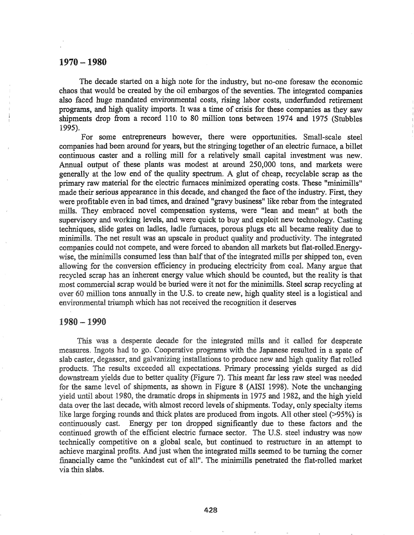### 1970-1980

The decade started on a high note for the industry, but no-one foresaw the economic chaos that would be created by the oil embargos of the seventies. The integrated companies also faced huge mandated environmental costs, rising labor costs, underfunded retirement programs, and high quality imports. It was a time of crisis for these companies as they saw shipments drop from a record 110 to 80 million tons between 1974 and 1975 (Stubbles 1995).

For some entrepreneurs however, there were opportunities. Small-scale steel companies had been around for years, but the stringing together of an electric furnace, a billet continuous caster and a rolling mill for a relatively small capital investment was new. Annual output of these plants was modest at around 250,000 tons, and markets were generally at the low end of the quality spectrum. A glut of cheap, recyclable scrap as the primary raw material for the electric furnaces minimized operating costs. These "minimills" made their serious appearance in this decade, and changed the face of the industry. First, they were profitable even in bad times, and drained "gravy business" like rebar from the integrated mills. They embraced novel compensation systems, were "lean and mean" at both the supervisory and working levels, and were quick to buy and exploit new technology. Casting techniques, slide gates on ladles, ladle furnaces, porous plugs etc all became reality due to minimills. The net result was an upscale in product quality and productivity. The integrated companies could not compete, and were forced to abandon all markets but flat-rolled.Energywise, the minimills consumed less than half that of the integrated mills per shipped ton, even allowing for the conversion efficiency in producing electricity from coal. Many argue that recycled scrap has an inherent energy value which should be counted, but the reality is that most commercial scrap would be buried were it not for the minimills. Steel scrap recycling at over 60 million tons annually in the U.S. to create new, high quality steel is a logistical and environmental triumph which has not received the recognition it deserves

### 1980 -1990

This was a desperate decade for the integrated mills and it called for desperate measures. Ingots had to go. Cooperative programs with the Japanese resulted in a spate of slab caster, degasser, and galvanizing installations to produce new and high quality flat rolled products. The results exceeded all expectations. Primary processing yields surged as did downstream yields due to better quality (Figure 7). This meant far less raw steel was needed for the same level of shipments, as shown in Figure 8 (AISI 1998). Note the unchanging yield until about 1980, the dramatic drops in shipments in 1975 and 1982, and the high yield data over the last decade, with almost record levels of shipments. Today, only specialty items like large forging rounds and thick plates are produced from ingots. All other steel  $(>95%)$  is continuously cast. Energy per ton dropped significantly due to these factors and the continued growth of the efficient electric furnace sector. The U.S. steel industry was now technically competitive on a global scale, but continued to restructure in an attempt to achieve marginal profits. And just when the integrated mills seemed to be turning the comer financially came the "unkindest cut of all". The minimills penetrated the flat-rolled market via thin slabs.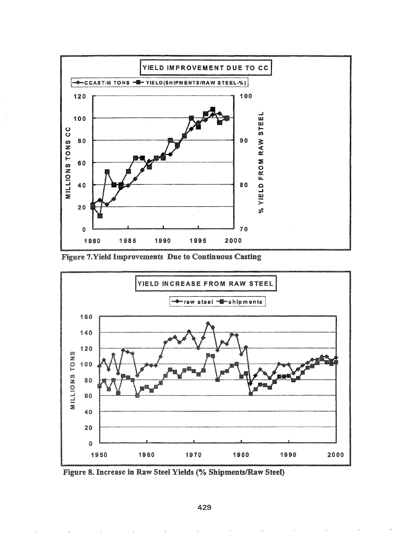

Figure 7. Yield Improvements Due to Continuous Casting



Figure 8. Increase in Raw Steel Yields (% Shipments/Raw Steel)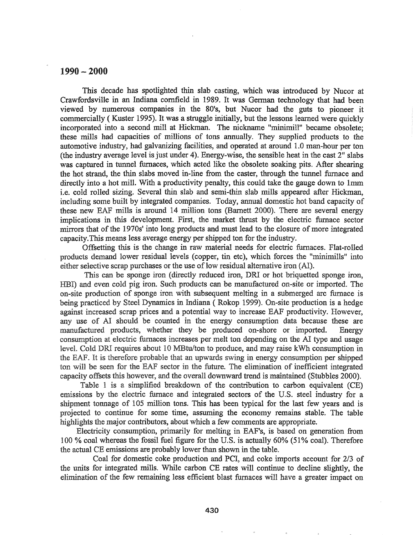### $1990 - 2000$

This decade has spotlighted thin slab casting, which was introduced by Nucor at Crawfordsville in an Indiana cornfield in 1989. It was German technology that had been viewed by numerous companies in the 80's, but Nucor had the guts to pioneer it commercially (Kuster 1995). It was a struggle initially, but the lessons learned were quickly incorporated into a second mill at Hickman. The nickname "minimill" became obsolete; these mills had capacities of millions of tons annually. They supplied products to the automotive industry, had galvanizing facilities, and operated at around 1.0 man-hour per ton (the industry average level is just under 4). Energy-wise, the sensible heat in the cast  $2<sup>n</sup>$  slabs was captured in tunnel furnaces, which acted like the obsolete soaking pits. After shearing the hot strand, the thin slabs moved in-line from the caster, through the tunnel furnace and directly into a hot mill. With a productivity penalty, this could take the gauge down to 1mm i.e. cold rolled sizing. Several thin slab and semi-thin slab mills appeared after Hickman, including some built by integrated companies. Today, annual domestic hot band capacity of these new EAF mills is around 14 million tons (Barnett 2000). There are several energy implications in this development. First, the market thrust by the electric furnace sector mirrors that of the 1970s' into long products and must lead to the closure of more integrated capacity.This means less average energy per shipped ton for the industry.

Offsetting this is the change in raw material needs for electric furnaces. Flat-rolled products demand lower residual levels (copper, tin etc), which forces the "minimills" into either selective scrap purchases or the use of low residual alternative iron (AI).

This can be sponge iron (directly reduced iron, DR! or hot briquetted sponge iron, HBI) and even cold pig iron. Such products can be manufactured on-site or imported. The on-site production of sponge iron with subsequent melting in a submerged arc furnace is being practiced by Steel Dynamics in Indiana (Rokop 1999). On-site production is a hedge against increased scrap prices and a potential way to increase EAF productivity. However, any use of AI should be counted in the energy consumption data because these are manufactured products, whether they be produced on-shore or imported. Energy consumption at electric furnaces increases per melt ton depending on the AI type and usage level. Cold DRI requires about 10 MBtu/ton to produce, and may raise kWh consumption in the EAF. It is therefore probable that an upwards swing in energy consumption per shipped ton will be seen for the EAF sector in the future. The elimination of inefficient integrated capacity offsets this however, and the overall downward trend is maintained (Stubbles 2000).

Table 1 is a simplified breakdown of the contribution to carbon equivalent (CE) emissions by the electric furnace and integrated sectors of the U.S. steel industry for a shipment tonnage of 105 million tons. This has been typical for the last few years and is projected to continue for some time, assuming the economy remains stable. The table highlights the major contributors, about which a few comments are appropriate.

Electricity consumption, primarily for melting in EAF's, is based on generation from 100 % coal whereas the fossil fuel figure for the U.S. is actually 60% (51% coal). Therefore the actual CE emissions are probably lower than shown in the table.

Coal for domestic coke production and PCl, and coke imports account for 2/3 of the units for integrated mills. While carbon CE rates will continue to decline slightly, the elimination of the few remaining less efficient blast furnaces will have a greater impact on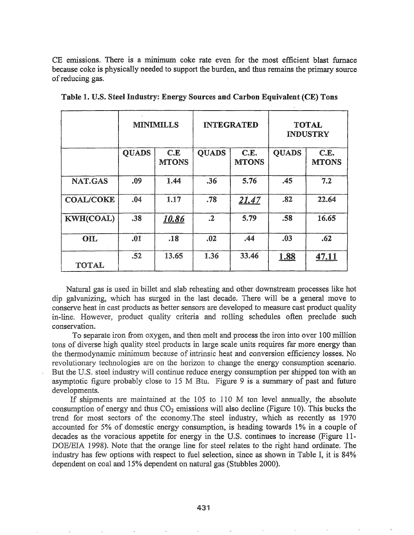CE emissions. There is a minimum coke rate even for the most efficient blast furnace because coke is physically needed to support the burden, and thus remains the primary source of reducing gas.

|                  | <b>MINIMILLS</b> |                     | <b>INTEGRATED</b> |                      | <b>TOTAL</b><br><b>INDUSTRY</b> |                      |
|------------------|------------------|---------------------|-------------------|----------------------|---------------------------------|----------------------|
|                  | <b>QUADS</b>     | C.E<br><b>MTONS</b> | <b>OUADS</b>      | C.E.<br><b>MTONS</b> | <b>QUADS</b>                    | C.E.<br><b>MTONS</b> |
| NAT.GAS          | .09              | 1.44                | .36               | 5.76                 | .45                             | 7.2                  |
| <b>COAL/COKE</b> | .04              | 1.17                | .78               | <u>21.47</u>         | .82                             | 22.64                |
| KWH(COAL)        | .38              | 10.86               | $\cdot^2$         | 5.79                 | .58                             | 16.65                |
| <b>OIL</b>       | .01              | .18                 | .02               | .44                  | .03                             | .62                  |
| <b>TOTAL</b>     | .52              | 13.65               | 1.36              | 33.46                | <u>1.88</u>                     | 47.11                |

Natural gas is used in billet and slab reheating and other downstream processes like hot dip galvanizing, which has surged in the last decade. There will be a general move to conserve heat in cast products as better sensors are developed to measure cast product quality in-line. However, product quality criteria and rolling schedules often preclude such conservation.

To separate iron from oxygen, and then melt and process the iron into over 100 million tons of diverse high quality steel products in large scale units requires far more energy than the thermodynamic minimum because of intrinsic heat and conversion efficiency losses. No revolutionary technologies are on the horizon to change the energy consumption scenario. But the U.S. steel industry will continue reduce energy consumption per shipped ton with an asymptotic figure probably close to 15 M Btu. Figure 9 is a summary of past and future developments.

If shipments are maintained at the  $105$  to 110 M ton level annually, the absolute consumption of energy and thus  $CO<sub>2</sub>$  emissions will also decline (Figure 10). This bucks the trend for most sectors of the economy. The steel industry, which as recently as 1970 accounted for 5% of domestic energy consumption, is heading towards 1% in a couple of decades as the voracious appetite for energy in the U.S. continues to increase (Figure 11-1998). Note that the orange line for steel relates to the right hand ordinate. The industry has few options with respect to fuel selection, since as shown in Table I, it is 84% dependent on coal and 15% dependent on natural gas (Stubbles 2000)..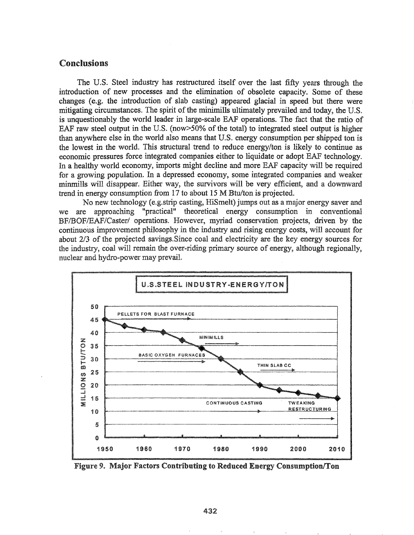## **Conclusions**

The U.S. Steel industry has restructured itself over the last fifty years through the introduction of new processes and the elimination of obsolete capacity. Some of these changes (e.g. the introduction of slab casting) appeared glacial in speed but there were mitigating circumstances. The spirit of the minimills ultimately prevailed and today, the U.S. is unquestionably the world leader in large-scale EAF operations. The fact that the ratio of EAF raw steel output in the U.S. (now > 50% of the total) to integrated steel output is higher than anywhere else in the world also means that U.S. energy consumption per shipped ton is the lowest in the world. This structural trend to reduce energy/ton is likely to continue as economic pressures force integrated companies either to liquidate or adopt EAF technology. In a healthy world economy, imports might decline and more EAF capacity will be required for a growing population. In a depressed economy, some integrated companies and weaker minmills will disappear. Either way, the survivors will be very efficient, and a downward trend in energy consumption from 17 to about 15 M Btu/ton is projected.

No new technology (e.g.strip casting, HiSmelt) jumps out as a major energy saver and approaching "practical" theoretical energy consumption in conventional we are BF/BOF/EAF/Caster/ operations. However, myriad conservation projects, driven by the continuous improvement philosophy in the industry and rising energy costs, will account for about 2/3 of the projected savings. Since coal and electricity are the key energy sources for the industry, coal will remain the over-riding primary source of energy, although regionally, nuclear and hydro-power may prevail.



Figure 9. Major Factors Contributing to Reduced Energy Consumption/Ton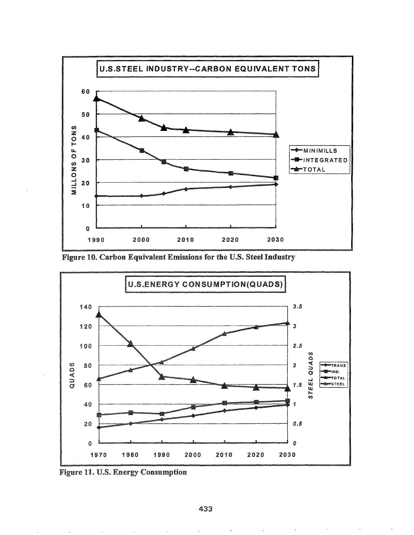

Figure 10. Carbon Equivalent Emissions for the U.S. Steel Industry



**Figure 11. U.S. Energy Consumption**